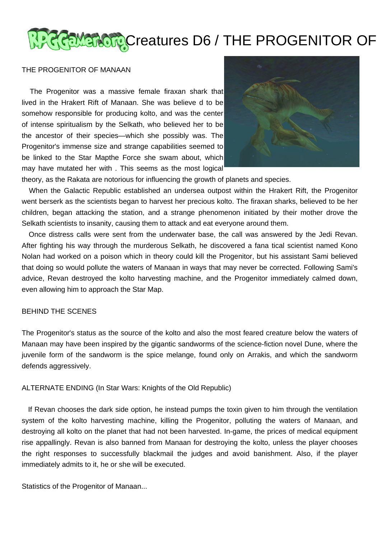## **ACCEMEROR** Creatures D6 / THE PROGENITOR OF

## THE PROGENITOR OF MANAAN

 The Progenitor was a massive female firaxan shark that lived in the Hrakert Rift of Manaan. She was believe d to be somehow responsible for producing kolto, and was the center of intense spiritualism by the Selkath, who believed her to be the ancestor of their species—which she possibly was. The Progenitor's immense size and strange capabilities seemed to be linked to the Star Mapthe Force she swam about, which may have mutated her with . This seems as the most logical



theory, as the Rakata are notorious for influencing the growth of planets and species.

 When the Galactic Republic established an undersea outpost within the Hrakert Rift, the Progenitor went berserk as the scientists began to harvest her precious kolto. The firaxan sharks, believed to be her children, began attacking the station, and a strange phenomenon initiated by their mother drove the Selkath scientists to insanity, causing them to attack and eat everyone around them.

 Once distress calls were sent from the underwater base, the call was answered by the Jedi Revan. After fighting his way through the murderous Selkath, he discovered a fana tical scientist named Kono Nolan had worked on a poison which in theory could kill the Progenitor, but his assistant Sami believed that doing so would pollute the waters of Manaan in ways that may never be corrected. Following Sami's advice, Revan destroyed the kolto harvesting machine, and the Progenitor immediately calmed down, even allowing him to approach the Star Map.

## BEHIND THE SCENES

The Progenitor's status as the source of the kolto and also the most feared creature below the waters of Manaan may have been inspired by the gigantic sandworms of the science-fiction novel Dune, where the juvenile form of the sandworm is the spice melange, found only on Arrakis, and which the sandworm defends aggressively.

ALTERNATE ENDING (In Star Wars: Knights of the Old Republic)

 If Revan chooses the dark side option, he instead pumps the toxin given to him through the ventilation system of the kolto harvesting machine, killing the Progenitor, polluting the waters of Manaan, and destroying all kolto on the planet that had not been harvested. In-game, the prices of medical equipment rise appallingly. Revan is also banned from Manaan for destroying the kolto, unless the player chooses the right responses to successfully blackmail the judges and avoid banishment. Also, if the player immediately admits to it, he or she will be executed.

Statistics of the Progenitor of Manaan...